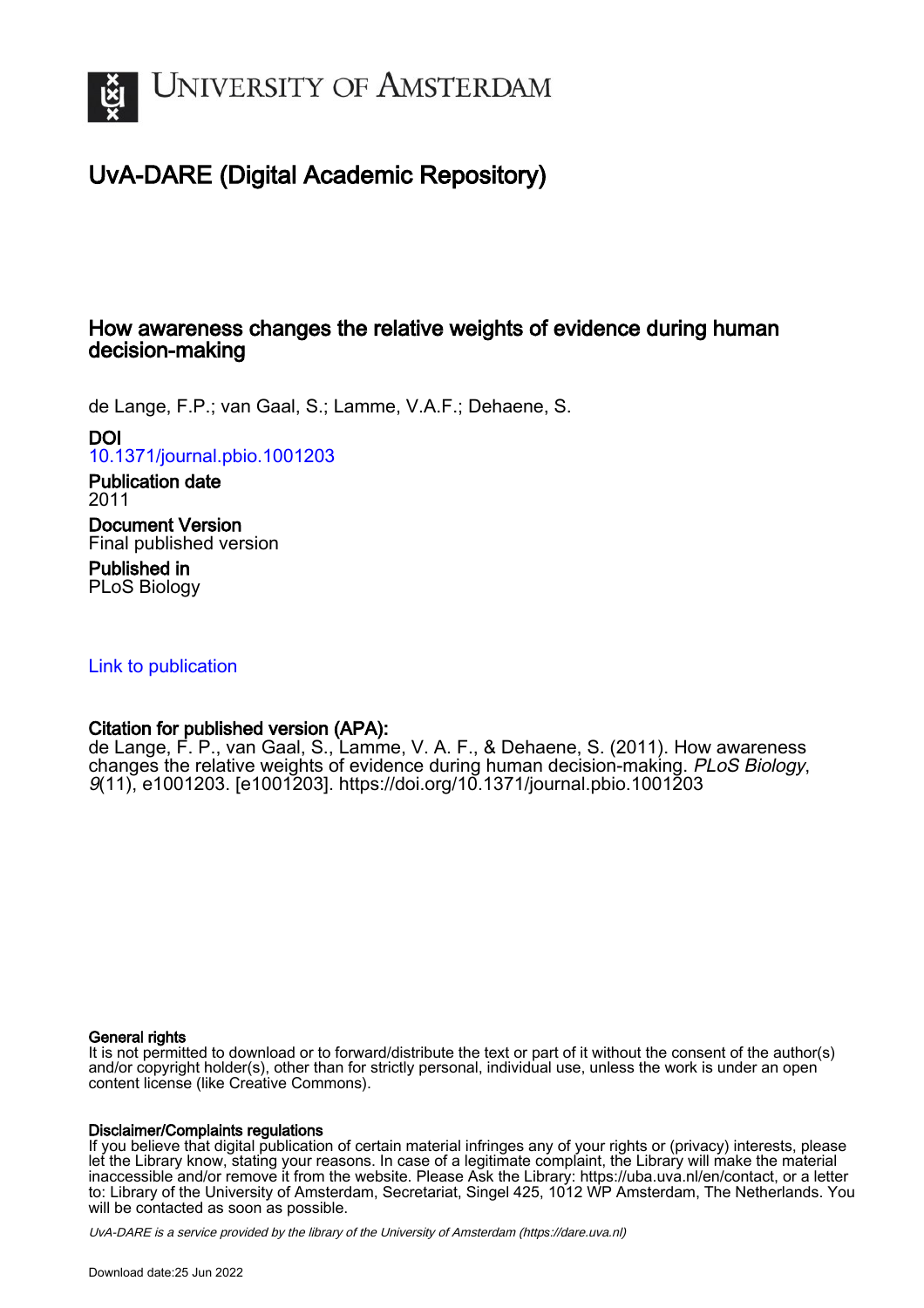

# UvA-DARE (Digital Academic Repository)

# How awareness changes the relative weights of evidence during human decision-making

de Lange, F.P.; van Gaal, S.; Lamme, V.A.F.; Dehaene, S.

DOI

[10.1371/journal.pbio.1001203](https://doi.org/10.1371/journal.pbio.1001203)

Publication date 2011

Document Version Final published version

Published in PLoS Biology

[Link to publication](https://dare.uva.nl/personal/pure/en/publications/how-awareness-changes-the-relative-weights-of-evidence-during-human-decisionmaking(1069810e-e205-4187-a016-d3fa600b527a).html)

# Citation for published version (APA):

de Lange, F. P., van Gaal, S., Lamme, V. A. F., & Dehaene, S. (2011). How awareness changes the relative weights of evidence during human decision-making. PLoS Biology, 9(11), e1001203. [e1001203].<https://doi.org/10.1371/journal.pbio.1001203>

## General rights

It is not permitted to download or to forward/distribute the text or part of it without the consent of the author(s) and/or copyright holder(s), other than for strictly personal, individual use, unless the work is under an open content license (like Creative Commons).

## Disclaimer/Complaints regulations

If you believe that digital publication of certain material infringes any of your rights or (privacy) interests, please let the Library know, stating your reasons. In case of a legitimate complaint, the Library will make the material inaccessible and/or remove it from the website. Please Ask the Library: https://uba.uva.nl/en/contact, or a letter to: Library of the University of Amsterdam, Secretariat, Singel 425, 1012 WP Amsterdam, The Netherlands. You will be contacted as soon as possible.

UvA-DARE is a service provided by the library of the University of Amsterdam (http*s*://dare.uva.nl)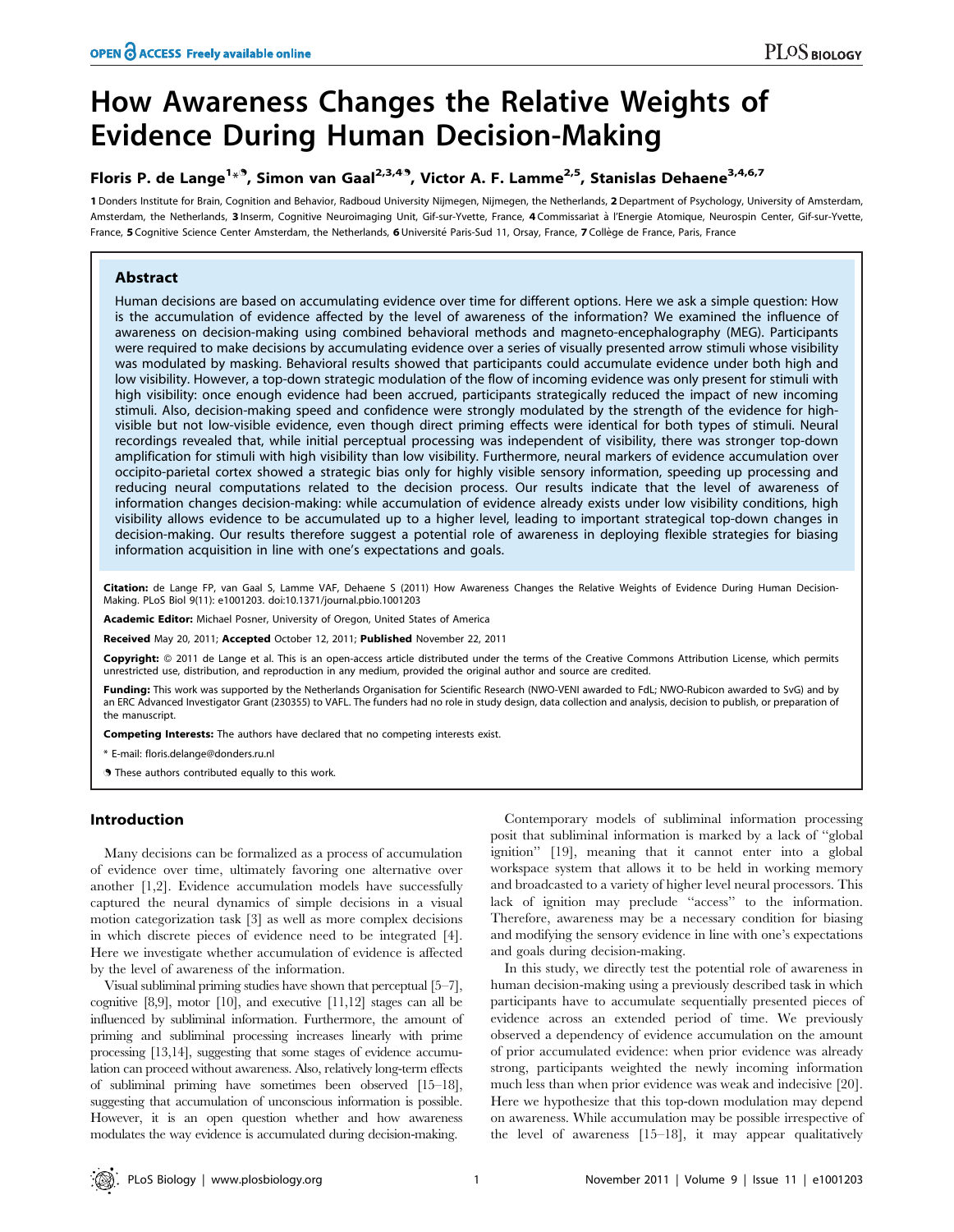# How Awareness Changes the Relative Weights of Evidence During Human Decision-Making

# Floris P. de Lange<sup>1\*9</sup>, Simon van Gaal<sup>2,3,49</sup>, Victor A. F. Lamme<sup>2,5</sup>, Stanislas Dehaene<sup>3,4,6,7</sup>

1 Donders Institute for Brain, Cognition and Behavior, Radboud University Nijmegen, Nijmegen, the Netherlands, 2 Department of Psychology, University of Amsterdam, Amsterdam, the Netherlands, 3 Inserm, Cognitive Neuroimaging Unit, Gif-sur-Yvette, France, 4 Commissariat à l'Energie Atomique, Neurospin Center, Gif-sur-Yvette, France, 5 Cognitive Science Center Amsterdam, the Netherlands, 6 Université Paris-Sud 11, Orsay, France, 7 Collège de France, Paris, France

### Abstract

Human decisions are based on accumulating evidence over time for different options. Here we ask a simple question: How is the accumulation of evidence affected by the level of awareness of the information? We examined the influence of awareness on decision-making using combined behavioral methods and magneto-encephalography (MEG). Participants were required to make decisions by accumulating evidence over a series of visually presented arrow stimuli whose visibility was modulated by masking. Behavioral results showed that participants could accumulate evidence under both high and low visibility. However, a top-down strategic modulation of the flow of incoming evidence was only present for stimuli with high visibility: once enough evidence had been accrued, participants strategically reduced the impact of new incoming stimuli. Also, decision-making speed and confidence were strongly modulated by the strength of the evidence for highvisible but not low-visible evidence, even though direct priming effects were identical for both types of stimuli. Neural recordings revealed that, while initial perceptual processing was independent of visibility, there was stronger top-down amplification for stimuli with high visibility than low visibility. Furthermore, neural markers of evidence accumulation over occipito-parietal cortex showed a strategic bias only for highly visible sensory information, speeding up processing and reducing neural computations related to the decision process. Our results indicate that the level of awareness of information changes decision-making: while accumulation of evidence already exists under low visibility conditions, high visibility allows evidence to be accumulated up to a higher level, leading to important strategical top-down changes in decision-making. Our results therefore suggest a potential role of awareness in deploying flexible strategies for biasing information acquisition in line with one's expectations and goals.

Citation: de Lange FP, van Gaal S, Lamme VAF, Dehaene S (2011) How Awareness Changes the Relative Weights of Evidence During Human Decision-Making. PLoS Biol 9(11): e1001203. doi:10.1371/journal.pbio.1001203

Academic Editor: Michael Posner, University of Oregon, United States of America

Received May 20, 2011; Accepted October 12, 2011; Published November 22, 2011

**Copyright:** © 2011 de Lange et al. This is an open-access article distributed under the terms of the Creative Commons Attribution License, which permits unrestricted use, distribution, and reproduction in any medium, provided the original author and source are credited.

Funding: This work was supported by the Netherlands Organisation for Scientific Research (NWO-VENI awarded to FdL; NWO-Rubicon awarded to SvG) and by an ERC Advanced Investigator Grant (230355) to VAFL. The funders had no role in study design, data collection and analysis, decision to publish, or preparation of the manuscript.

Competing Interests: The authors have declared that no competing interests exist.

\* E-mail: floris.delange@donders.ru.nl

**.** These authors contributed equally to this work.

## Introduction

Many decisions can be formalized as a process of accumulation of evidence over time, ultimately favoring one alternative over another [1,2]. Evidence accumulation models have successfully captured the neural dynamics of simple decisions in a visual motion categorization task [3] as well as more complex decisions in which discrete pieces of evidence need to be integrated [4]. Here we investigate whether accumulation of evidence is affected by the level of awareness of the information.

Visual subliminal priming studies have shown that perceptual [5–7], cognitive [8,9], motor [10], and executive [11,12] stages can all be influenced by subliminal information. Furthermore, the amount of priming and subliminal processing increases linearly with prime processing [13,14], suggesting that some stages of evidence accumulation can proceed without awareness. Also, relatively long-term effects of subliminal priming have sometimes been observed [15–18], suggesting that accumulation of unconscious information is possible. However, it is an open question whether and how awareness modulates the way evidence is accumulated during decision-making.

Contemporary models of subliminal information processing posit that subliminal information is marked by a lack of ''global ignition'' [19], meaning that it cannot enter into a global workspace system that allows it to be held in working memory and broadcasted to a variety of higher level neural processors. This lack of ignition may preclude ''access'' to the information. Therefore, awareness may be a necessary condition for biasing and modifying the sensory evidence in line with one's expectations and goals during decision-making.

In this study, we directly test the potential role of awareness in human decision-making using a previously described task in which participants have to accumulate sequentially presented pieces of evidence across an extended period of time. We previously observed a dependency of evidence accumulation on the amount of prior accumulated evidence: when prior evidence was already strong, participants weighted the newly incoming information much less than when prior evidence was weak and indecisive [20]. Here we hypothesize that this top-down modulation may depend on awareness. While accumulation may be possible irrespective of the level of awareness [15–18], it may appear qualitatively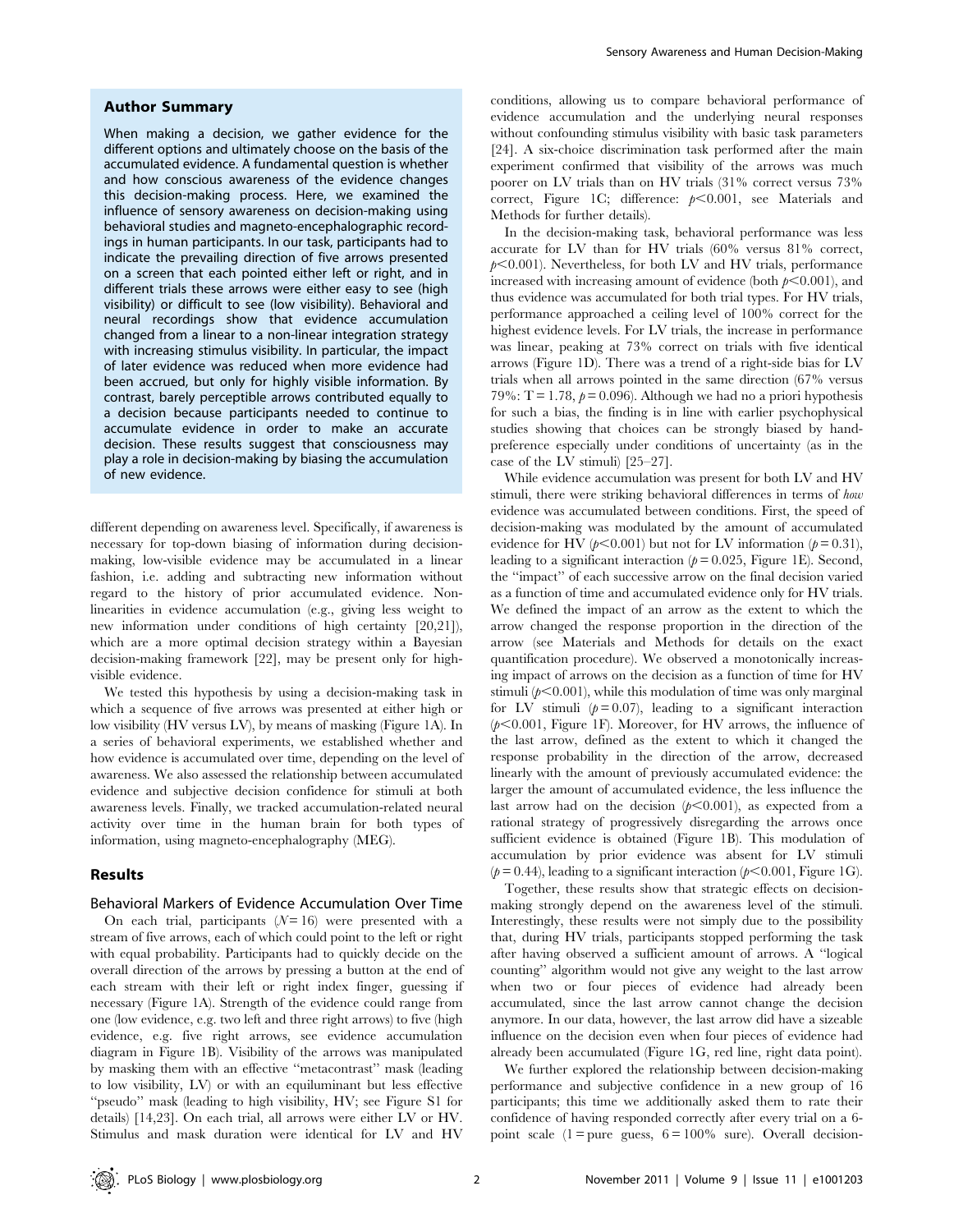#### Author Summary

When making a decision, we gather evidence for the different options and ultimately choose on the basis of the accumulated evidence. A fundamental question is whether and how conscious awareness of the evidence changes this decision-making process. Here, we examined the influence of sensory awareness on decision-making using behavioral studies and magneto-encephalographic recordings in human participants. In our task, participants had to indicate the prevailing direction of five arrows presented on a screen that each pointed either left or right, and in different trials these arrows were either easy to see (high visibility) or difficult to see (low visibility). Behavioral and neural recordings show that evidence accumulation changed from a linear to a non-linear integration strategy with increasing stimulus visibility. In particular, the impact of later evidence was reduced when more evidence had been accrued, but only for highly visible information. By contrast, barely perceptible arrows contributed equally to a decision because participants needed to continue to accumulate evidence in order to make an accurate decision. These results suggest that consciousness may play a role in decision-making by biasing the accumulation of new evidence.

different depending on awareness level. Specifically, if awareness is necessary for top-down biasing of information during decisionmaking, low-visible evidence may be accumulated in a linear fashion, i.e. adding and subtracting new information without regard to the history of prior accumulated evidence. Nonlinearities in evidence accumulation (e.g., giving less weight to new information under conditions of high certainty [20,21]), which are a more optimal decision strategy within a Bayesian decision-making framework [22], may be present only for highvisible evidence.

We tested this hypothesis by using a decision-making task in which a sequence of five arrows was presented at either high or low visibility (HV versus LV), by means of masking (Figure 1A). In a series of behavioral experiments, we established whether and how evidence is accumulated over time, depending on the level of awareness. We also assessed the relationship between accumulated evidence and subjective decision confidence for stimuli at both awareness levels. Finally, we tracked accumulation-related neural activity over time in the human brain for both types of information, using magneto-encephalography (MEG).

#### Results

#### Behavioral Markers of Evidence Accumulation Over Time

On each trial, participants  $(N=16)$  were presented with a stream of five arrows, each of which could point to the left or right with equal probability. Participants had to quickly decide on the overall direction of the arrows by pressing a button at the end of each stream with their left or right index finger, guessing if necessary (Figure 1A). Strength of the evidence could range from one (low evidence, e.g. two left and three right arrows) to five (high evidence, e.g. five right arrows, see evidence accumulation diagram in Figure 1B). Visibility of the arrows was manipulated by masking them with an effective ''metacontrast'' mask (leading to low visibility, LV) or with an equiluminant but less effective ''pseudo'' mask (leading to high visibility, HV; see Figure S1 for details) [14,23]. On each trial, all arrows were either LV or HV. Stimulus and mask duration were identical for LV and HV

conditions, allowing us to compare behavioral performance of evidence accumulation and the underlying neural responses without confounding stimulus visibility with basic task parameters [24]. A six-choice discrimination task performed after the main experiment confirmed that visibility of the arrows was much poorer on LV trials than on HV trials (31% correct versus 73% correct, Figure 1C; difference:  $p<0.001$ , see Materials and Methods for further details).

In the decision-making task, behavioral performance was less accurate for LV than for HV trials (60% versus 81% correct,  $p<0.001$ ). Nevertheless, for both LV and HV trials, performance increased with increasing amount of evidence (both  $p<0.001$ ), and thus evidence was accumulated for both trial types. For HV trials, performance approached a ceiling level of 100% correct for the highest evidence levels. For LV trials, the increase in performance was linear, peaking at 73% correct on trials with five identical arrows (Figure 1D). There was a trend of a right-side bias for LV trials when all arrows pointed in the same direction (67% versus 79%:  $T = 1.78$ ,  $p = 0.096$ ). Although we had no a priori hypothesis for such a bias, the finding is in line with earlier psychophysical studies showing that choices can be strongly biased by handpreference especially under conditions of uncertainty (as in the case of the LV stimuli) [25–27].

While evidence accumulation was present for both LV and HV stimuli, there were striking behavioral differences in terms of how evidence was accumulated between conditions. First, the speed of decision-making was modulated by the amount of accumulated evidence for HV ( $p<0.001$ ) but not for LV information ( $p=0.31$ ), leading to a significant interaction ( $p = 0.025$ , Figure 1E). Second, the ''impact'' of each successive arrow on the final decision varied as a function of time and accumulated evidence only for HV trials. We defined the impact of an arrow as the extent to which the arrow changed the response proportion in the direction of the arrow (see Materials and Methods for details on the exact quantification procedure). We observed a monotonically increasing impact of arrows on the decision as a function of time for HV stimuli  $(p<0.001)$ , while this modulation of time was only marginal for LV stimuli  $(p=0.07)$ , leading to a significant interaction  $(p<0.001$ , Figure 1F). Moreover, for HV arrows, the influence of the last arrow, defined as the extent to which it changed the response probability in the direction of the arrow, decreased linearly with the amount of previously accumulated evidence: the larger the amount of accumulated evidence, the less influence the last arrow had on the decision  $(p<0.001)$ , as expected from a rational strategy of progressively disregarding the arrows once sufficient evidence is obtained (Figure 1B). This modulation of accumulation by prior evidence was absent for LV stimuli ( $p = 0.44$ ), leading to a significant interaction ( $p < 0.001$ , Figure 1G).

Together, these results show that strategic effects on decisionmaking strongly depend on the awareness level of the stimuli. Interestingly, these results were not simply due to the possibility that, during HV trials, participants stopped performing the task after having observed a sufficient amount of arrows. A ''logical counting'' algorithm would not give any weight to the last arrow when two or four pieces of evidence had already been accumulated, since the last arrow cannot change the decision anymore. In our data, however, the last arrow did have a sizeable influence on the decision even when four pieces of evidence had already been accumulated (Figure 1G, red line, right data point).

We further explored the relationship between decision-making performance and subjective confidence in a new group of 16 participants; this time we additionally asked them to rate their confidence of having responded correctly after every trial on a 6 point scale  $(1 = pure)$  guess,  $6 = 100\%$  sure). Overall decision-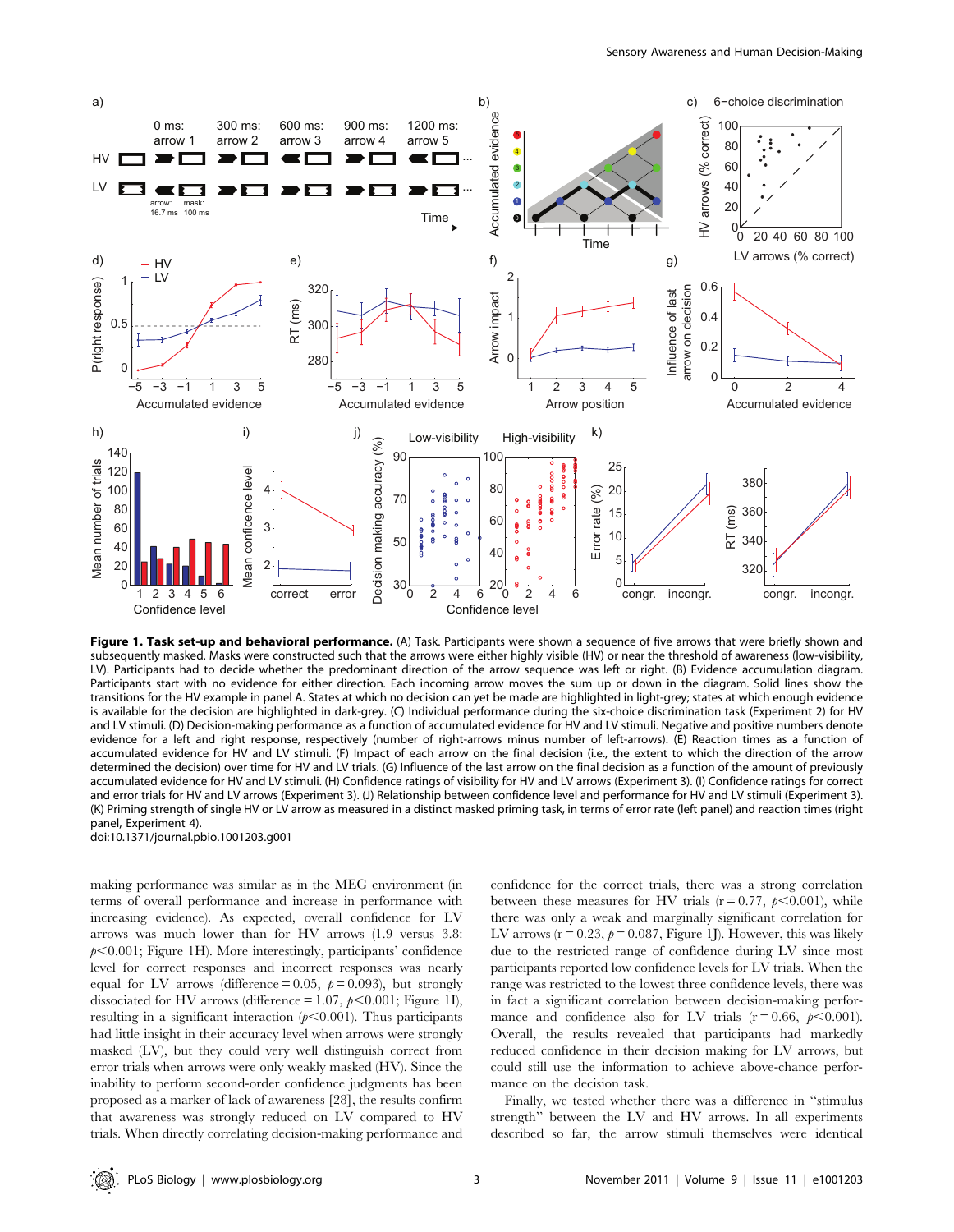

Figure 1. Task set-up and behavioral performance. (A) Task. Participants were shown a sequence of five arrows that were briefly shown and subsequently masked. Masks were constructed such that the arrows were either highly visible (HV) or near the threshold of awareness (low-visibility, LV). Participants had to decide whether the predominant direction of the arrow sequence was left or right. (B) Evidence accumulation diagram. Participants start with no evidence for either direction. Each incoming arrow moves the sum up or down in the diagram. Solid lines show the transitions for the HV example in panel A. States at which no decision can yet be made are highlighted in light-grey; states at which enough evidence is available for the decision are highlighted in dark-grey. (C) Individual performance during the six-choice discrimination task (Experiment 2) for HV and LV stimuli. (D) Decision-making performance as a function of accumulated evidence for HV and LV stimuli. Negative and positive numbers denote evidence for a left and right response, respectively (number of right-arrows minus number of left-arrows). (E) Reaction times as a function of accumulated evidence for HV and LV stimuli. (F) Impact of each arrow on the final decision (i.e., the extent to which the direction of the arrow determined the decision) over time for HV and LV trials. (G) Influence of the last arrow on the final decision as a function of the amount of previously accumulated evidence for HV and LV stimuli. (H) Confidence ratings of visibility for HV and LV arrows (Experiment 3). (I) Confidence ratings for correct and error trials for HV and LV arrows (Experiment 3). (J) Relationship between confidence level and performance for HV and LV stimuli (Experiment 3). (K) Priming strength of single HV or LV arrow as measured in a distinct masked priming task, in terms of error rate (left panel) and reaction times (right panel, Experiment 4).

doi:10.1371/journal.pbio.1001203.g001

making performance was similar as in the MEG environment (in terms of overall performance and increase in performance with increasing evidence). As expected, overall confidence for LV arrows was much lower than for HV arrows (1.9 versus 3.8:  $p<0.001$ ; Figure 1H). More interestingly, participants' confidence level for correct responses and incorrect responses was nearly equal for LV arrows (difference = 0.05,  $p = 0.093$ ), but strongly dissociated for HV arrows (difference = 1.07,  $p$ <0.001; Figure 1I), resulting in a significant interaction  $(p<0.001)$ . Thus participants had little insight in their accuracy level when arrows were strongly masked (LV), but they could very well distinguish correct from error trials when arrows were only weakly masked (HV). Since the inability to perform second-order confidence judgments has been proposed as a marker of lack of awareness [28], the results confirm that awareness was strongly reduced on LV compared to HV trials. When directly correlating decision-making performance and confidence for the correct trials, there was a strong correlation between these measures for HV trials ( $r = 0.77$ ,  $p < 0.001$ ), while there was only a weak and marginally significant correlation for LV arrows ( $r = 0.23$ ,  $p = 0.087$ , Figure 1J). However, this was likely due to the restricted range of confidence during LV since most participants reported low confidence levels for LV trials. When the range was restricted to the lowest three confidence levels, there was in fact a significant correlation between decision-making performance and confidence also for LV trials ( $r = 0.66$ ,  $p < 0.001$ ). Overall, the results revealed that participants had markedly reduced confidence in their decision making for LV arrows, but could still use the information to achieve above-chance performance on the decision task.

Finally, we tested whether there was a difference in ''stimulus strength'' between the LV and HV arrows. In all experiments described so far, the arrow stimuli themselves were identical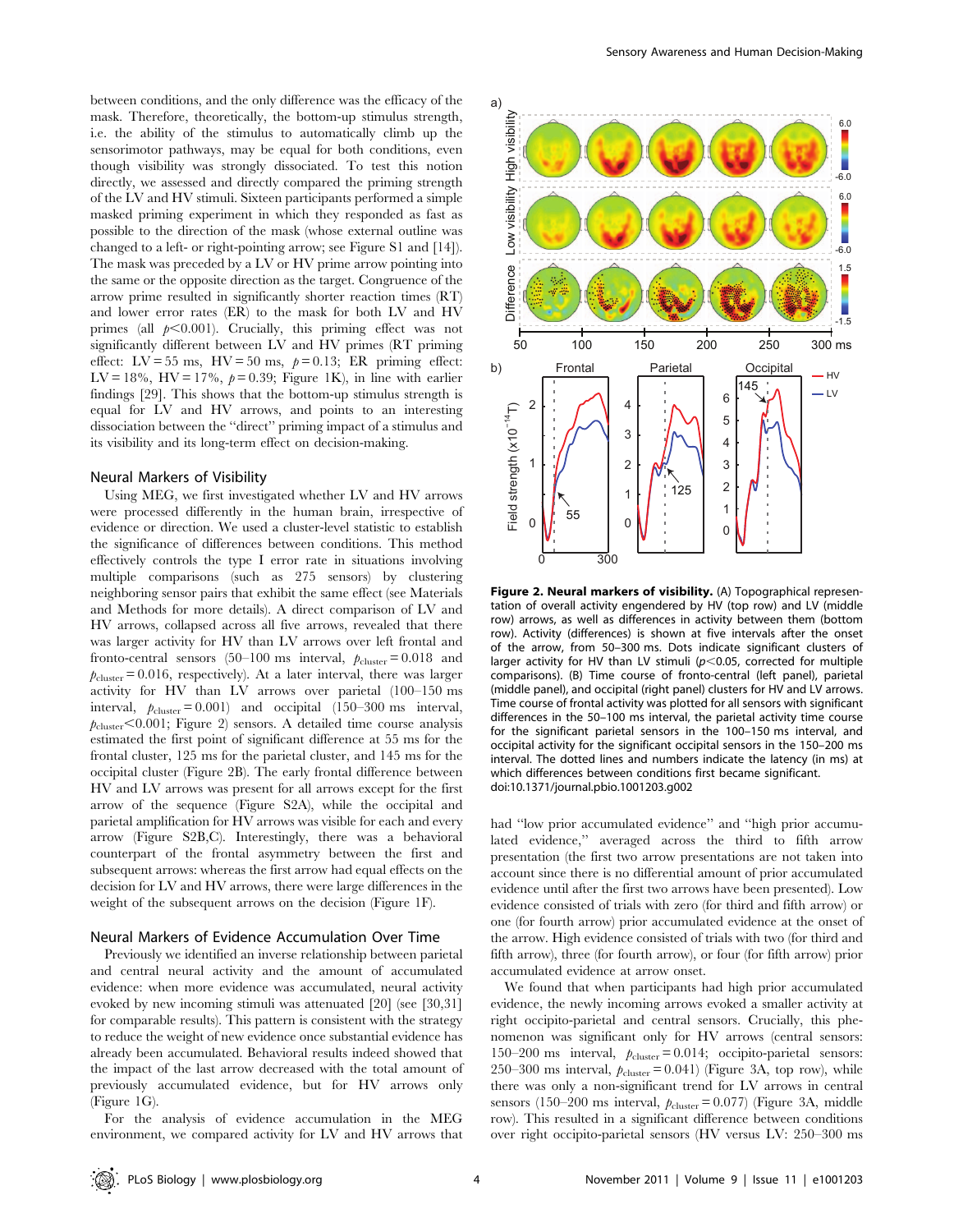between conditions, and the only difference was the efficacy of the mask. Therefore, theoretically, the bottom-up stimulus strength, i.e. the ability of the stimulus to automatically climb up the sensorimotor pathways, may be equal for both conditions, even though visibility was strongly dissociated. To test this notion directly, we assessed and directly compared the priming strength of the LV and HV stimuli. Sixteen participants performed a simple masked priming experiment in which they responded as fast as possible to the direction of the mask (whose external outline was changed to a left- or right-pointing arrow; see Figure S1 and [14]). The mask was preceded by a LV or HV prime arrow pointing into the same or the opposite direction as the target. Congruence of the arrow prime resulted in significantly shorter reaction times (RT) and lower error rates (ER) to the mask for both LV and HV primes (all  $p<0.001$ ). Crucially, this priming effect was not significantly different between LV and HV primes (RT priming effect:  $LV = 55$  ms,  $HV = 50$  ms,  $p = 0.13$ ; ER priming effect: LV = 18%, HV = 17%,  $p = 0.39$ ; Figure 1K), in line with earlier findings [29]. This shows that the bottom-up stimulus strength is equal for LV and HV arrows, and points to an interesting dissociation between the ''direct'' priming impact of a stimulus and its visibility and its long-term effect on decision-making.

#### Neural Markers of Visibility

Using MEG, we first investigated whether LV and HV arrows were processed differently in the human brain, irrespective of evidence or direction. We used a cluster-level statistic to establish the significance of differences between conditions. This method effectively controls the type I error rate in situations involving multiple comparisons (such as 275 sensors) by clustering neighboring sensor pairs that exhibit the same effect (see Materials and Methods for more details). A direct comparison of LV and HV arrows, collapsed across all five arrows, revealed that there was larger activity for HV than LV arrows over left frontal and fronto-central sensors (50–100 ms interval,  $p_{\text{cluster}} = 0.018$  and  $p_{\text{cluster}} = 0.016$ , respectively). At a later interval, there was larger activity for HV than LV arrows over parietal (100–150 ms interval,  $p_{\text{cluster}} = 0.001$ ) and occipital (150–300 ms interval,  $p_{\text{cluster}} < 0.001$ ; Figure 2) sensors. A detailed time course analysis estimated the first point of significant difference at 55 ms for the frontal cluster, 125 ms for the parietal cluster, and 145 ms for the occipital cluster (Figure 2B). The early frontal difference between HV and LV arrows was present for all arrows except for the first arrow of the sequence (Figure S2A), while the occipital and parietal amplification for HV arrows was visible for each and every arrow (Figure S2B,C). Interestingly, there was a behavioral counterpart of the frontal asymmetry between the first and subsequent arrows: whereas the first arrow had equal effects on the decision for LV and HV arrows, there were large differences in the weight of the subsequent arrows on the decision (Figure 1F).

#### Neural Markers of Evidence Accumulation Over Time

Previously we identified an inverse relationship between parietal and central neural activity and the amount of accumulated evidence: when more evidence was accumulated, neural activity evoked by new incoming stimuli was attenuated [20] (see [30,31] for comparable results). This pattern is consistent with the strategy to reduce the weight of new evidence once substantial evidence has already been accumulated. Behavioral results indeed showed that the impact of the last arrow decreased with the total amount of previously accumulated evidence, but for HV arrows only (Figure 1G).



Figure 2. Neural markers of visibility. (A) Topographical representation of overall activity engendered by HV (top row) and LV (middle row) arrows, as well as differences in activity between them (bottom row). Activity (differences) is shown at five intervals after the onset of the arrow, from 50–300 ms. Dots indicate significant clusters of larger activity for HV than LV stimuli ( $p$ <0.05, corrected for multiple comparisons). (B) Time course of fronto-central (left panel), parietal (middle panel), and occipital (right panel) clusters for HV and LV arrows. Time course of frontal activity was plotted for all sensors with significant differences in the 50–100 ms interval, the parietal activity time course for the significant parietal sensors in the 100–150 ms interval, and occipital activity for the significant occipital sensors in the 150–200 ms interval. The dotted lines and numbers indicate the latency (in ms) at which differences between conditions first became significant. doi:10.1371/journal.pbio.1001203.g002

had ''low prior accumulated evidence'' and ''high prior accumulated evidence,'' averaged across the third to fifth arrow presentation (the first two arrow presentations are not taken into account since there is no differential amount of prior accumulated evidence until after the first two arrows have been presented). Low evidence consisted of trials with zero (for third and fifth arrow) or one (for fourth arrow) prior accumulated evidence at the onset of the arrow. High evidence consisted of trials with two (for third and fifth arrow), three (for fourth arrow), or four (for fifth arrow) prior accumulated evidence at arrow onset.

We found that when participants had high prior accumulated evidence, the newly incoming arrows evoked a smaller activity at right occipito-parietal and central sensors. Crucially, this phenomenon was significant only for HV arrows (central sensors: 150–200 ms interval,  $p_{cluster} = 0.014$ ; occipito-parietal sensors: 250–300 ms interval,  $p_{\text{cluster}} = 0.041$ ) (Figure 3A, top row), while there was only a non-significant trend for LV arrows in central sensors (150–200 ms interval,  $p_{\text{cluster}} = 0.077$ ) (Figure 3A, middle row). This resulted in a significant difference between conditions over right occipito-parietal sensors (HV versus LV: 250–300 ms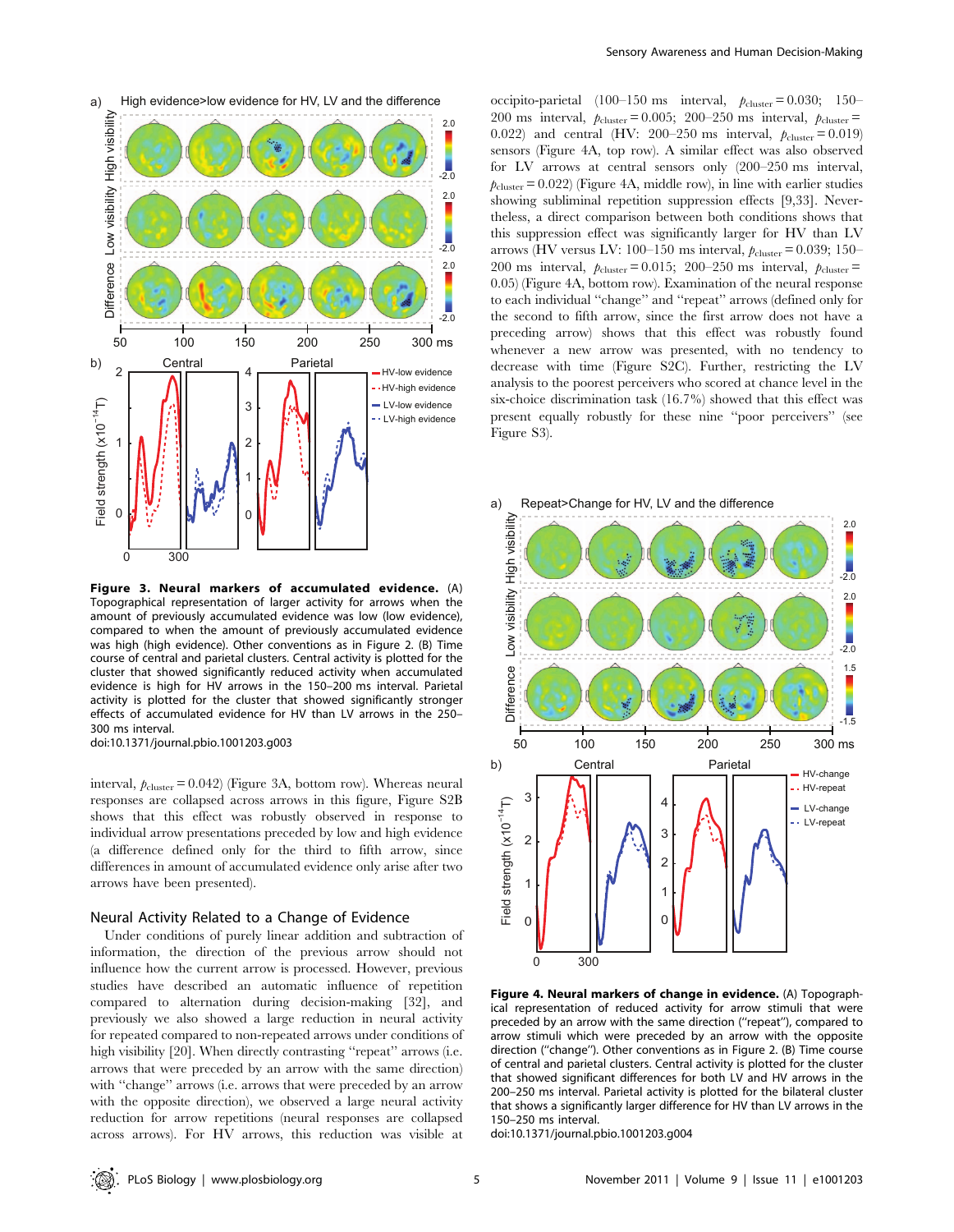

Figure 3. Neural markers of accumulated evidence. (A) Topographical representation of larger activity for arrows when the amount of previously accumulated evidence was low (low evidence), compared to when the amount of previously accumulated evidence was high (high evidence). Other conventions as in Figure 2. (B) Time course of central and parietal clusters. Central activity is plotted for the cluster that showed significantly reduced activity when accumulated evidence is high for HV arrows in the 150–200 ms interval. Parietal activity is plotted for the cluster that showed significantly stronger effects of accumulated evidence for HV than LV arrows in the 250– 300 ms interval.

interval,  $p_{\text{cluster}} = 0.042$ ) (Figure 3A, bottom row). Whereas neural responses are collapsed across arrows in this figure, Figure S2B shows that this effect was robustly observed in response to individual arrow presentations preceded by low and high evidence (a difference defined only for the third to fifth arrow, since differences in amount of accumulated evidence only arise after two arrows have been presented).

#### Neural Activity Related to a Change of Evidence

Under conditions of purely linear addition and subtraction of information, the direction of the previous arrow should not influence how the current arrow is processed. However, previous studies have described an automatic influence of repetition compared to alternation during decision-making [32], and previously we also showed a large reduction in neural activity for repeated compared to non-repeated arrows under conditions of high visibility [20]. When directly contrasting "repeat" arrows (i.e. arrows that were preceded by an arrow with the same direction) with ''change'' arrows (i.e. arrows that were preceded by an arrow with the opposite direction), we observed a large neural activity reduction for arrow repetitions (neural responses are collapsed across arrows). For HV arrows, this reduction was visible at occipito-parietal (100–150 ms interval,  $p_{\text{cluster}} = 0.030; 150-$ 200 ms interval,  $p_{cluster} = 0.005$ ; 200–250 ms interval,  $p_{cluster} =$ 0.022) and central (HV: 200–250 ms interval,  $p_{\text{cluster}} = 0.019$ ) sensors (Figure 4A, top row). A similar effect was also observed for LV arrows at central sensors only (200–250 ms interval,  $p_{\text{cluster}} = 0.022$  (Figure 4A, middle row), in line with earlier studies showing subliminal repetition suppression effects [9,33]. Nevertheless, a direct comparison between both conditions shows that this suppression effect was significantly larger for HV than LV arrows (HV versus LV: 100–150 ms interval,  $p_{\text{cluster}} = 0.039$ ; 150– 200 ms interval,  $p_{cluster} = 0.015$ ; 200–250 ms interval,  $p_{cluster} =$ 0.05) (Figure 4A, bottom row). Examination of the neural response to each individual ''change'' and ''repeat'' arrows (defined only for the second to fifth arrow, since the first arrow does not have a preceding arrow) shows that this effect was robustly found whenever a new arrow was presented, with no tendency to decrease with time (Figure S2C). Further, restricting the LV analysis to the poorest perceivers who scored at chance level in the six-choice discrimination task (16.7%) showed that this effect was present equally robustly for these nine ''poor perceivers'' (see Figure S3).

a) Repeat>Change for HV, LV and the difference



Figure 4. Neural markers of change in evidence. (A) Topographical representation of reduced activity for arrow stimuli that were preceded by an arrow with the same direction (''repeat''), compared to arrow stimuli which were preceded by an arrow with the opposite direction (''change''). Other conventions as in Figure 2. (B) Time course of central and parietal clusters. Central activity is plotted for the cluster that showed significant differences for both LV and HV arrows in the 200–250 ms interval. Parietal activity is plotted for the bilateral cluster that shows a significantly larger difference for HV than LV arrows in the 150–250 ms interval.

doi:10.1371/journal.pbio.1001203.g004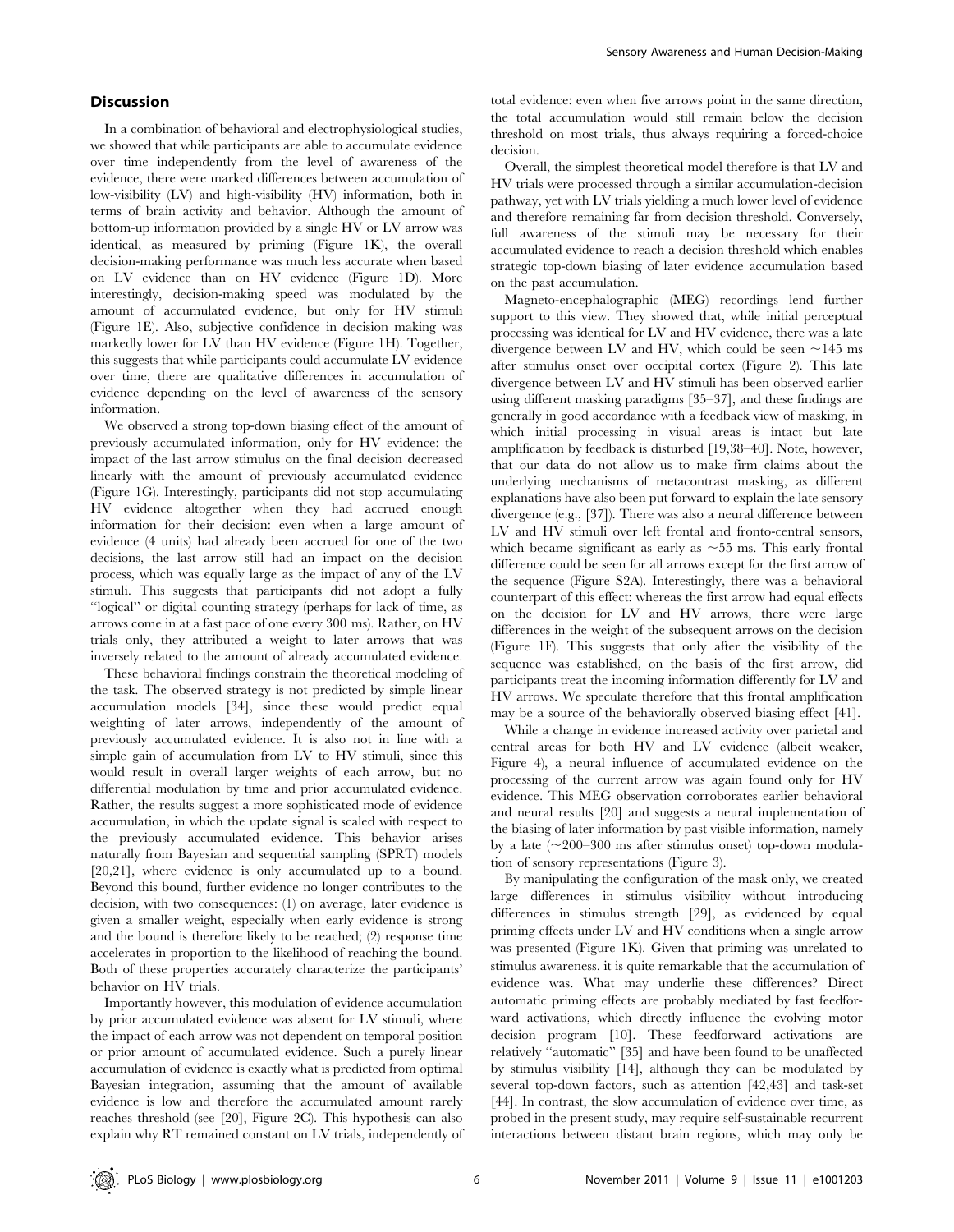#### **Discussion**

In a combination of behavioral and electrophysiological studies, we showed that while participants are able to accumulate evidence over time independently from the level of awareness of the evidence, there were marked differences between accumulation of low-visibility (LV) and high-visibility (HV) information, both in terms of brain activity and behavior. Although the amount of bottom-up information provided by a single HV or LV arrow was identical, as measured by priming (Figure 1K), the overall decision-making performance was much less accurate when based on LV evidence than on HV evidence (Figure 1D). More interestingly, decision-making speed was modulated by the amount of accumulated evidence, but only for HV stimuli (Figure 1E). Also, subjective confidence in decision making was markedly lower for LV than HV evidence (Figure 1H). Together, this suggests that while participants could accumulate LV evidence over time, there are qualitative differences in accumulation of evidence depending on the level of awareness of the sensory information.

We observed a strong top-down biasing effect of the amount of previously accumulated information, only for HV evidence: the impact of the last arrow stimulus on the final decision decreased linearly with the amount of previously accumulated evidence (Figure 1G). Interestingly, participants did not stop accumulating HV evidence altogether when they had accrued enough information for their decision: even when a large amount of evidence (4 units) had already been accrued for one of the two decisions, the last arrow still had an impact on the decision process, which was equally large as the impact of any of the LV stimuli. This suggests that participants did not adopt a fully ''logical'' or digital counting strategy (perhaps for lack of time, as arrows come in at a fast pace of one every 300 ms). Rather, on HV trials only, they attributed a weight to later arrows that was inversely related to the amount of already accumulated evidence.

These behavioral findings constrain the theoretical modeling of the task. The observed strategy is not predicted by simple linear accumulation models [34], since these would predict equal weighting of later arrows, independently of the amount of previously accumulated evidence. It is also not in line with a simple gain of accumulation from LV to HV stimuli, since this would result in overall larger weights of each arrow, but no differential modulation by time and prior accumulated evidence. Rather, the results suggest a more sophisticated mode of evidence accumulation, in which the update signal is scaled with respect to the previously accumulated evidence. This behavior arises naturally from Bayesian and sequential sampling (SPRT) models [20,21], where evidence is only accumulated up to a bound. Beyond this bound, further evidence no longer contributes to the decision, with two consequences: (1) on average, later evidence is given a smaller weight, especially when early evidence is strong and the bound is therefore likely to be reached; (2) response time accelerates in proportion to the likelihood of reaching the bound. Both of these properties accurately characterize the participants' behavior on HV trials.

Importantly however, this modulation of evidence accumulation by prior accumulated evidence was absent for LV stimuli, where the impact of each arrow was not dependent on temporal position or prior amount of accumulated evidence. Such a purely linear accumulation of evidence is exactly what is predicted from optimal Bayesian integration, assuming that the amount of available evidence is low and therefore the accumulated amount rarely reaches threshold (see [20], Figure 2C). This hypothesis can also explain why RT remained constant on LV trials, independently of total evidence: even when five arrows point in the same direction, the total accumulation would still remain below the decision threshold on most trials, thus always requiring a forced-choice decision.

Overall, the simplest theoretical model therefore is that LV and HV trials were processed through a similar accumulation-decision pathway, yet with LV trials yielding a much lower level of evidence and therefore remaining far from decision threshold. Conversely, full awareness of the stimuli may be necessary for their accumulated evidence to reach a decision threshold which enables strategic top-down biasing of later evidence accumulation based on the past accumulation.

Magneto-encephalographic (MEG) recordings lend further support to this view. They showed that, while initial perceptual processing was identical for LV and HV evidence, there was a late divergence between LV and HV, which could be seen  $\sim$ 145 ms after stimulus onset over occipital cortex (Figure 2). This late divergence between LV and HV stimuli has been observed earlier using different masking paradigms [35–37], and these findings are generally in good accordance with a feedback view of masking, in which initial processing in visual areas is intact but late amplification by feedback is disturbed [19,38–40]. Note, however, that our data do not allow us to make firm claims about the underlying mechanisms of metacontrast masking, as different explanations have also been put forward to explain the late sensory divergence (e.g., [37]). There was also a neural difference between LV and HV stimuli over left frontal and fronto-central sensors, which became significant as early as  $\sim$  55 ms. This early frontal difference could be seen for all arrows except for the first arrow of the sequence (Figure S2A). Interestingly, there was a behavioral counterpart of this effect: whereas the first arrow had equal effects on the decision for LV and HV arrows, there were large differences in the weight of the subsequent arrows on the decision (Figure 1F). This suggests that only after the visibility of the sequence was established, on the basis of the first arrow, did participants treat the incoming information differently for LV and HV arrows. We speculate therefore that this frontal amplification may be a source of the behaviorally observed biasing effect [41].

While a change in evidence increased activity over parietal and central areas for both HV and LV evidence (albeit weaker, Figure 4), a neural influence of accumulated evidence on the processing of the current arrow was again found only for HV evidence. This MEG observation corroborates earlier behavioral and neural results [20] and suggests a neural implementation of the biasing of later information by past visible information, namely by a late  $(\sim 200-300$  ms after stimulus onset) top-down modulation of sensory representations (Figure 3).

By manipulating the configuration of the mask only, we created large differences in stimulus visibility without introducing differences in stimulus strength [29], as evidenced by equal priming effects under LV and HV conditions when a single arrow was presented (Figure 1K). Given that priming was unrelated to stimulus awareness, it is quite remarkable that the accumulation of evidence was. What may underlie these differences? Direct automatic priming effects are probably mediated by fast feedforward activations, which directly influence the evolving motor decision program [10]. These feedforward activations are relatively ''automatic'' [35] and have been found to be unaffected by stimulus visibility [14], although they can be modulated by several top-down factors, such as attention [42,43] and task-set [44]. In contrast, the slow accumulation of evidence over time, as probed in the present study, may require self-sustainable recurrent interactions between distant brain regions, which may only be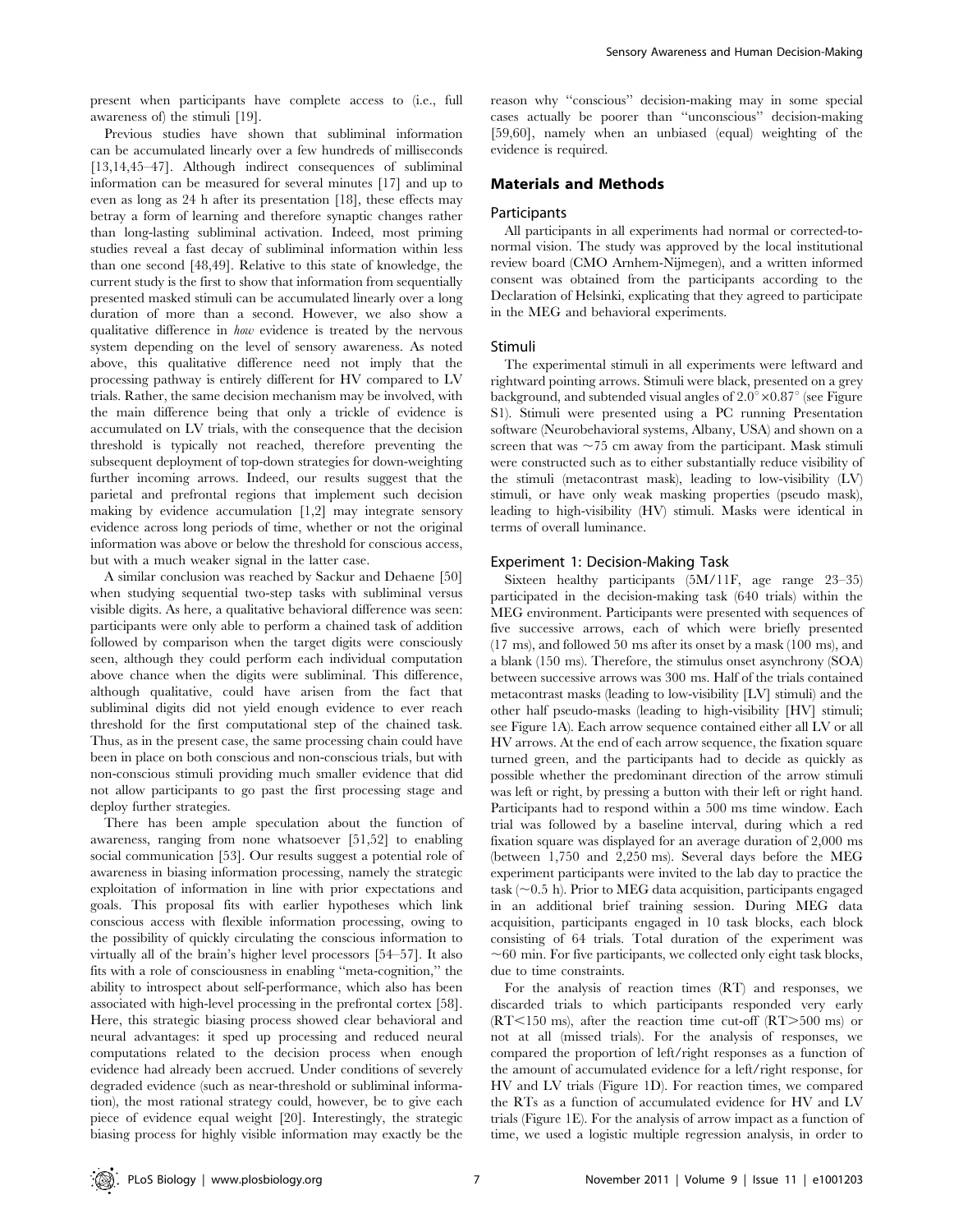present when participants have complete access to (i.e., full awareness of) the stimuli [19].

Previous studies have shown that subliminal information can be accumulated linearly over a few hundreds of milliseconds [13,14,45–47]. Although indirect consequences of subliminal information can be measured for several minutes [17] and up to even as long as 24 h after its presentation [18], these effects may betray a form of learning and therefore synaptic changes rather than long-lasting subliminal activation. Indeed, most priming studies reveal a fast decay of subliminal information within less than one second [48,49]. Relative to this state of knowledge, the current study is the first to show that information from sequentially presented masked stimuli can be accumulated linearly over a long duration of more than a second. However, we also show a qualitative difference in how evidence is treated by the nervous system depending on the level of sensory awareness. As noted above, this qualitative difference need not imply that the processing pathway is entirely different for HV compared to LV trials. Rather, the same decision mechanism may be involved, with the main difference being that only a trickle of evidence is accumulated on LV trials, with the consequence that the decision threshold is typically not reached, therefore preventing the subsequent deployment of top-down strategies for down-weighting further incoming arrows. Indeed, our results suggest that the parietal and prefrontal regions that implement such decision making by evidence accumulation [1,2] may integrate sensory evidence across long periods of time, whether or not the original information was above or below the threshold for conscious access, but with a much weaker signal in the latter case.

A similar conclusion was reached by Sackur and Dehaene [50] when studying sequential two-step tasks with subliminal versus visible digits. As here, a qualitative behavioral difference was seen: participants were only able to perform a chained task of addition followed by comparison when the target digits were consciously seen, although they could perform each individual computation above chance when the digits were subliminal. This difference, although qualitative, could have arisen from the fact that subliminal digits did not yield enough evidence to ever reach threshold for the first computational step of the chained task. Thus, as in the present case, the same processing chain could have been in place on both conscious and non-conscious trials, but with non-conscious stimuli providing much smaller evidence that did not allow participants to go past the first processing stage and deploy further strategies.

There has been ample speculation about the function of awareness, ranging from none whatsoever [51,52] to enabling social communication [53]. Our results suggest a potential role of awareness in biasing information processing, namely the strategic exploitation of information in line with prior expectations and goals. This proposal fits with earlier hypotheses which link conscious access with flexible information processing, owing to the possibility of quickly circulating the conscious information to virtually all of the brain's higher level processors [54–57]. It also fits with a role of consciousness in enabling ''meta-cognition,'' the ability to introspect about self-performance, which also has been associated with high-level processing in the prefrontal cortex [58]. Here, this strategic biasing process showed clear behavioral and neural advantages: it sped up processing and reduced neural computations related to the decision process when enough evidence had already been accrued. Under conditions of severely degraded evidence (such as near-threshold or subliminal information), the most rational strategy could, however, be to give each piece of evidence equal weight [20]. Interestingly, the strategic biasing process for highly visible information may exactly be the

reason why ''conscious'' decision-making may in some special cases actually be poorer than ''unconscious'' decision-making [59,60], namely when an unbiased (equal) weighting of the evidence is required.

#### Materials and Methods

#### Participants

All participants in all experiments had normal or corrected-tonormal vision. The study was approved by the local institutional review board (CMO Arnhem-Nijmegen), and a written informed consent was obtained from the participants according to the Declaration of Helsinki, explicating that they agreed to participate in the MEG and behavioral experiments.

#### Stimuli

The experimental stimuli in all experiments were leftward and rightward pointing arrows. Stimuli were black, presented on a grey background, and subtended visual angles of  $2.0^{\circ} \times 0.87^{\circ}$  (see Figure S1). Stimuli were presented using a PC running Presentation software (Neurobehavioral systems, Albany, USA) and shown on a screen that was  $\sim$ 75 cm away from the participant. Mask stimuli were constructed such as to either substantially reduce visibility of the stimuli (metacontrast mask), leading to low-visibility (LV) stimuli, or have only weak masking properties (pseudo mask), leading to high-visibility (HV) stimuli. Masks were identical in terms of overall luminance.

#### Experiment 1: Decision-Making Task

Sixteen healthy participants (5M/11F, age range 23–35) participated in the decision-making task (640 trials) within the MEG environment. Participants were presented with sequences of five successive arrows, each of which were briefly presented (17 ms), and followed 50 ms after its onset by a mask (100 ms), and a blank (150 ms). Therefore, the stimulus onset asynchrony (SOA) between successive arrows was 300 ms. Half of the trials contained metacontrast masks (leading to low-visibility [LV] stimuli) and the other half pseudo-masks (leading to high-visibility [HV] stimuli; see Figure 1A). Each arrow sequence contained either all LV or all HV arrows. At the end of each arrow sequence, the fixation square turned green, and the participants had to decide as quickly as possible whether the predominant direction of the arrow stimuli was left or right, by pressing a button with their left or right hand. Participants had to respond within a 500 ms time window. Each trial was followed by a baseline interval, during which a red fixation square was displayed for an average duration of 2,000 ms (between 1,750 and 2,250 ms). Several days before the MEG experiment participants were invited to the lab day to practice the task ( $\sim$ 0.5 h). Prior to MEG data acquisition, participants engaged in an additional brief training session. During MEG data acquisition, participants engaged in 10 task blocks, each block consisting of 64 trials. Total duration of the experiment was  $\sim60$  min. For five participants, we collected only eight task blocks, due to time constraints.

For the analysis of reaction times (RT) and responses, we discarded trials to which participants responded very early  $(RT<150 \text{ ms})$ , after the reaction time cut-off  $(RT>500 \text{ ms})$  or not at all (missed trials). For the analysis of responses, we compared the proportion of left/right responses as a function of the amount of accumulated evidence for a left/right response, for HV and LV trials (Figure 1D). For reaction times, we compared the RTs as a function of accumulated evidence for HV and LV trials (Figure 1E). For the analysis of arrow impact as a function of time, we used a logistic multiple regression analysis, in order to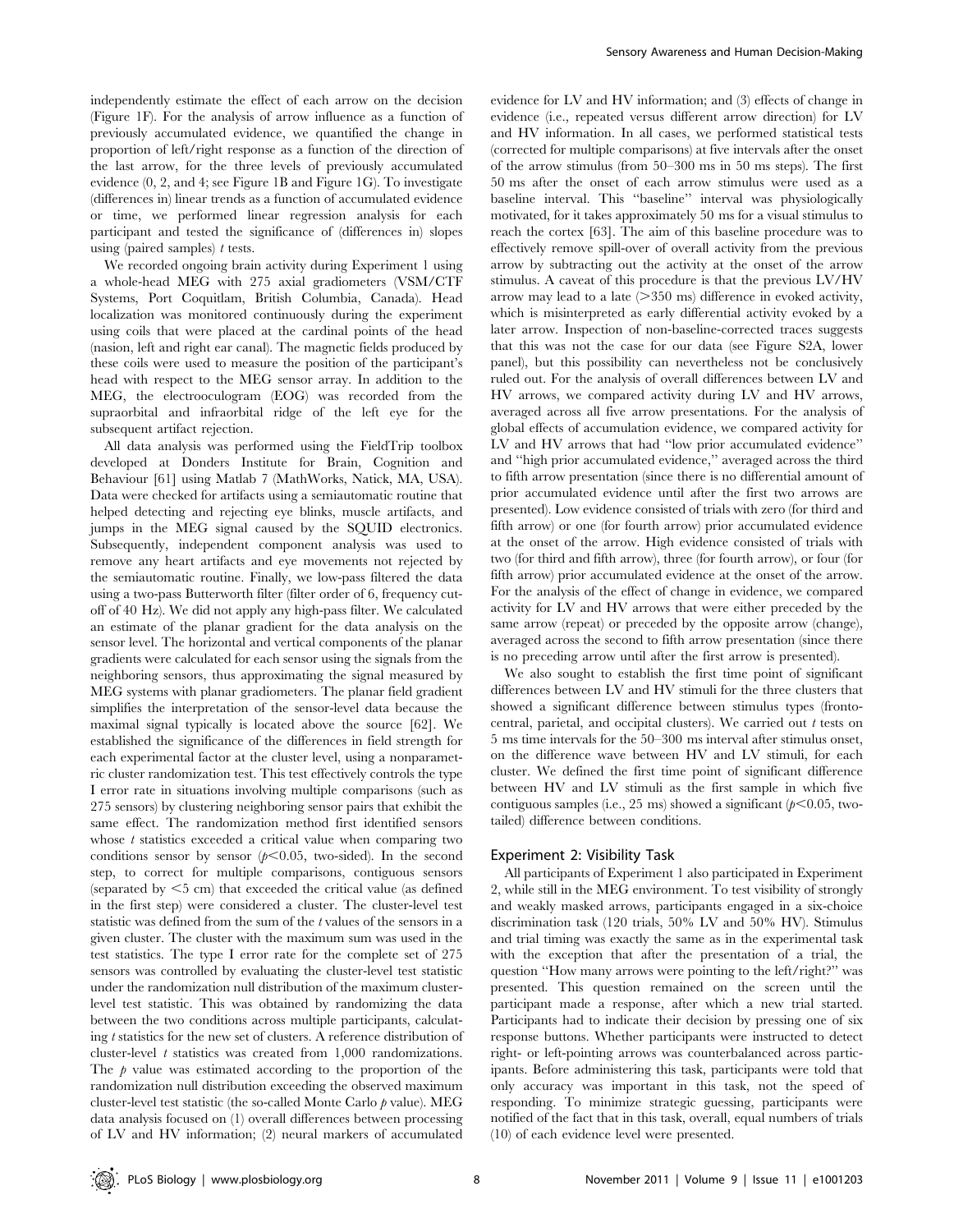independently estimate the effect of each arrow on the decision (Figure 1F). For the analysis of arrow influence as a function of previously accumulated evidence, we quantified the change in proportion of left/right response as a function of the direction of the last arrow, for the three levels of previously accumulated evidence (0, 2, and 4; see Figure 1B and Figure 1G). To investigate (differences in) linear trends as a function of accumulated evidence or time, we performed linear regression analysis for each participant and tested the significance of (differences in) slopes using (paired samples)  $t$  tests.

We recorded ongoing brain activity during Experiment 1 using a whole-head MEG with 275 axial gradiometers (VSM/CTF Systems, Port Coquitlam, British Columbia, Canada). Head localization was monitored continuously during the experiment using coils that were placed at the cardinal points of the head (nasion, left and right ear canal). The magnetic fields produced by these coils were used to measure the position of the participant's head with respect to the MEG sensor array. In addition to the MEG, the electrooculogram (EOG) was recorded from the supraorbital and infraorbital ridge of the left eye for the subsequent artifact rejection.

All data analysis was performed using the FieldTrip toolbox developed at Donders Institute for Brain, Cognition and Behaviour [61] using Matlab 7 (MathWorks, Natick, MA, USA). Data were checked for artifacts using a semiautomatic routine that helped detecting and rejecting eye blinks, muscle artifacts, and jumps in the MEG signal caused by the SQUID electronics. Subsequently, independent component analysis was used to remove any heart artifacts and eye movements not rejected by the semiautomatic routine. Finally, we low-pass filtered the data using a two-pass Butterworth filter (filter order of 6, frequency cutoff of 40 Hz). We did not apply any high-pass filter. We calculated an estimate of the planar gradient for the data analysis on the sensor level. The horizontal and vertical components of the planar gradients were calculated for each sensor using the signals from the neighboring sensors, thus approximating the signal measured by MEG systems with planar gradiometers. The planar field gradient simplifies the interpretation of the sensor-level data because the maximal signal typically is located above the source [62]. We established the significance of the differences in field strength for each experimental factor at the cluster level, using a nonparametric cluster randomization test. This test effectively controls the type I error rate in situations involving multiple comparisons (such as 275 sensors) by clustering neighboring sensor pairs that exhibit the same effect. The randomization method first identified sensors whose  $t$  statistics exceeded a critical value when comparing two conditions sensor by sensor  $(p<0.05$ , two-sided). In the second step, to correct for multiple comparisons, contiguous sensors (separated by  $\leq$ 5 cm) that exceeded the critical value (as defined in the first step) were considered a cluster. The cluster-level test statistic was defined from the sum of the t values of the sensors in a given cluster. The cluster with the maximum sum was used in the test statistics. The type I error rate for the complete set of 275 sensors was controlled by evaluating the cluster-level test statistic under the randomization null distribution of the maximum clusterlevel test statistic. This was obtained by randomizing the data between the two conditions across multiple participants, calculating t statistics for the new set of clusters. A reference distribution of cluster-level  $t$  statistics was created from  $1,000$  randomizations. The  $\beta$  value was estimated according to the proportion of the randomization null distribution exceeding the observed maximum cluster-level test statistic (the so-called Monte Carlo p value). MEG data analysis focused on (1) overall differences between processing of LV and HV information; (2) neural markers of accumulated

evidence for LV and HV information; and (3) effects of change in evidence (i.e., repeated versus different arrow direction) for LV and HV information. In all cases, we performed statistical tests (corrected for multiple comparisons) at five intervals after the onset of the arrow stimulus (from 50–300 ms in 50 ms steps). The first 50 ms after the onset of each arrow stimulus were used as a baseline interval. This ''baseline'' interval was physiologically motivated, for it takes approximately 50 ms for a visual stimulus to reach the cortex [63]. The aim of this baseline procedure was to effectively remove spill-over of overall activity from the previous arrow by subtracting out the activity at the onset of the arrow stimulus. A caveat of this procedure is that the previous LV/HV arrow may lead to a late  $(>350 \text{ ms})$  difference in evoked activity, which is misinterpreted as early differential activity evoked by a later arrow. Inspection of non-baseline-corrected traces suggests that this was not the case for our data (see Figure S2A, lower panel), but this possibility can nevertheless not be conclusively ruled out. For the analysis of overall differences between LV and HV arrows, we compared activity during LV and HV arrows, averaged across all five arrow presentations. For the analysis of global effects of accumulation evidence, we compared activity for LV and HV arrows that had ''low prior accumulated evidence'' and ''high prior accumulated evidence,'' averaged across the third to fifth arrow presentation (since there is no differential amount of prior accumulated evidence until after the first two arrows are presented). Low evidence consisted of trials with zero (for third and fifth arrow) or one (for fourth arrow) prior accumulated evidence at the onset of the arrow. High evidence consisted of trials with two (for third and fifth arrow), three (for fourth arrow), or four (for fifth arrow) prior accumulated evidence at the onset of the arrow. For the analysis of the effect of change in evidence, we compared activity for LV and HV arrows that were either preceded by the same arrow (repeat) or preceded by the opposite arrow (change), averaged across the second to fifth arrow presentation (since there is no preceding arrow until after the first arrow is presented).

We also sought to establish the first time point of significant differences between LV and HV stimuli for the three clusters that showed a significant difference between stimulus types (frontocentral, parietal, and occipital clusters). We carried out  $t$  tests on 5 ms time intervals for the 50–300 ms interval after stimulus onset, on the difference wave between HV and LV stimuli, for each cluster. We defined the first time point of significant difference between HV and LV stimuli as the first sample in which five contiguous samples (i.e., 25 ms) showed a significant ( $p<0.05$ , twotailed) difference between conditions.

#### Experiment 2: Visibility Task

All participants of Experiment 1 also participated in Experiment 2, while still in the MEG environment. To test visibility of strongly and weakly masked arrows, participants engaged in a six-choice discrimination task (120 trials, 50% LV and 50% HV). Stimulus and trial timing was exactly the same as in the experimental task with the exception that after the presentation of a trial, the question ''How many arrows were pointing to the left/right?'' was presented. This question remained on the screen until the participant made a response, after which a new trial started. Participants had to indicate their decision by pressing one of six response buttons. Whether participants were instructed to detect right- or left-pointing arrows was counterbalanced across participants. Before administering this task, participants were told that only accuracy was important in this task, not the speed of responding. To minimize strategic guessing, participants were notified of the fact that in this task, overall, equal numbers of trials (10) of each evidence level were presented.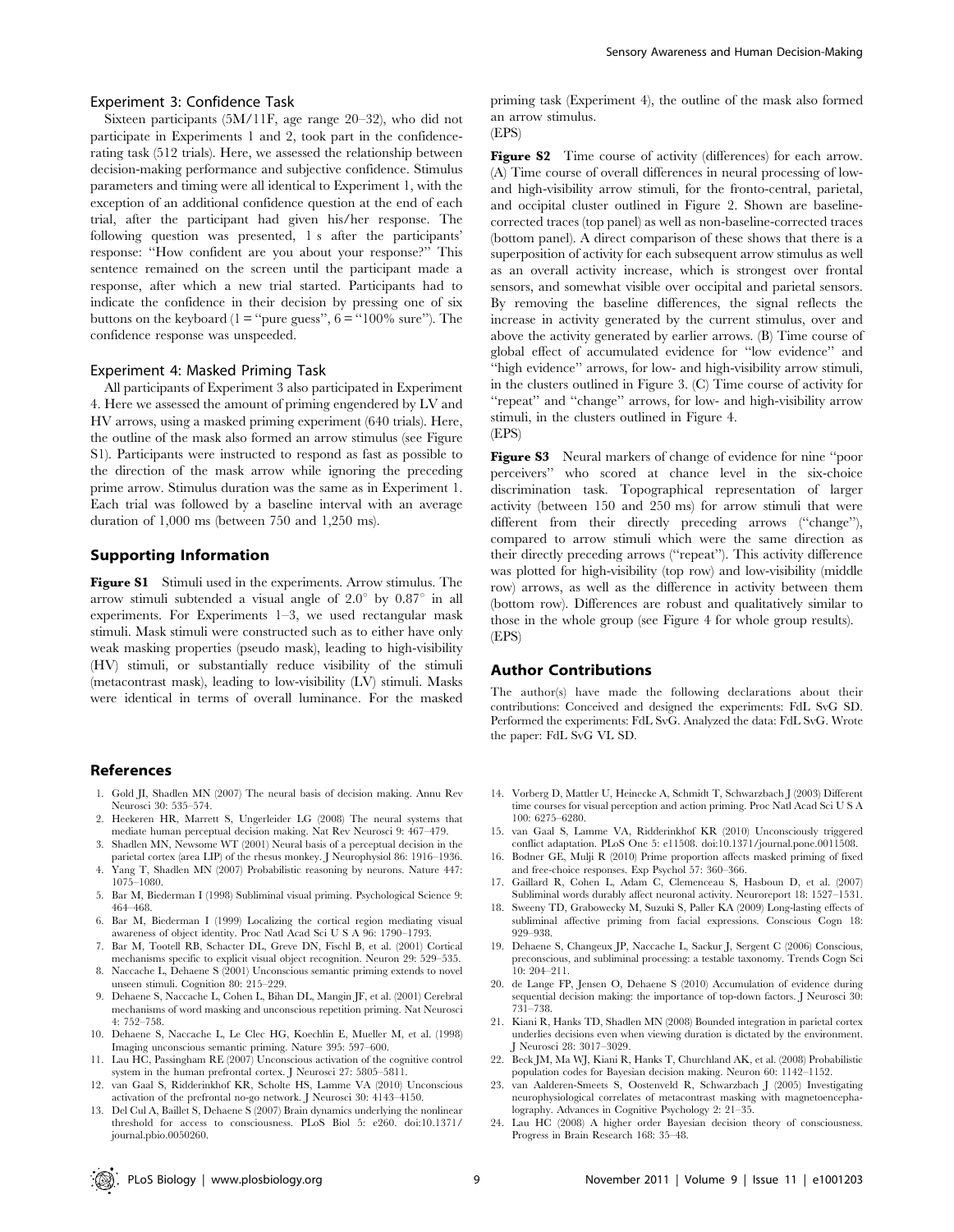#### Experiment 3: Confidence Task

Sixteen participants (5M/11F, age range 20–32), who did not participate in Experiments 1 and 2, took part in the confidencerating task (512 trials). Here, we assessed the relationship between decision-making performance and subjective confidence. Stimulus parameters and timing were all identical to Experiment 1, with the exception of an additional confidence question at the end of each trial, after the participant had given his/her response. The following question was presented, 1 s after the participants' response: ''How confident are you about your response?'' This sentence remained on the screen until the participant made a response, after which a new trial started. Participants had to indicate the confidence in their decision by pressing one of six buttons on the keyboard ( $1 =$ "pure guess",  $6 =$ "100% sure"). The confidence response was unspeeded.

#### Experiment 4: Masked Priming Task

All participants of Experiment 3 also participated in Experiment 4. Here we assessed the amount of priming engendered by LV and HV arrows, using a masked priming experiment (640 trials). Here, the outline of the mask also formed an arrow stimulus (see Figure S1). Participants were instructed to respond as fast as possible to the direction of the mask arrow while ignoring the preceding prime arrow. Stimulus duration was the same as in Experiment 1. Each trial was followed by a baseline interval with an average duration of 1,000 ms (between 750 and 1,250 ms).

#### Supporting Information

Figure S1 Stimuli used in the experiments. Arrow stimulus. The arrow stimuli subtended a visual angle of  $2.0^{\circ}$  by  $0.87^{\circ}$  in all experiments. For Experiments 1–3, we used rectangular mask stimuli. Mask stimuli were constructed such as to either have only weak masking properties (pseudo mask), leading to high-visibility (HV) stimuli, or substantially reduce visibility of the stimuli (metacontrast mask), leading to low-visibility (LV) stimuli. Masks were identical in terms of overall luminance. For the masked

#### References

- 1. Gold JI, Shadlen MN (2007) The neural basis of decision making. Annu Rev Neurosci 30: 535–574.
- 2. Heekeren HR, Marrett S, Ungerleider LG (2008) The neural systems that mediate human perceptual decision making. Nat Rev Neurosci 9: 467–479.
- 3. Shadlen MN, Newsome WT (2001) Neural basis of a perceptual decision in the parietal cortex (area LIP) of the rhesus monkey. J Neurophysiol 86: 1916–1936. 4. Yang T, Shadlen MN (2007) Probabilistic reasoning by neurons. Nature 447:
- 1075–1080. 5. Bar M, Biederman I (1998) Subliminal visual priming. Psychological Science 9: 464–468.
- 6. Bar M, Biederman I (1999) Localizing the cortical region mediating visual awareness of object identity. Proc Natl Acad Sci U S A 96: 1790–1793.
- 7. Bar M, Tootell RB, Schacter DL, Greve DN, Fischl B, et al. (2001) Cortical mechanisms specific to explicit visual object recognition. Neuron 29: 529–535.
- 8. Naccache L, Dehaene S (2001) Unconscious semantic priming extends to novel unseen stimuli. Cognition 80: 215–229.
- 9. Dehaene S, Naccache L, Cohen L, Bihan DL, Mangin JF, et al. (2001) Cerebral mechanisms of word masking and unconscious repetition priming. Nat Neurosci 4: 752–758.
- 10. Dehaene S, Naccache L, Le Clec HG, Koechlin E, Mueller M, et al. (1998) Imaging unconscious semantic priming. Nature 395: 597–600.
- 11. Lau HC, Passingham RE (2007) Unconscious activation of the cognitive control system in the human prefrontal cortex. J Neurosci 27: 5805–5811.
- 12. van Gaal S, Ridderinkhof KR, Scholte HS, Lamme VA (2010) Unconscious activation of the prefrontal no-go network. J Neurosci 30: 4143–4150.
- 13. Del Cul A, Baillet S, Dehaene S (2007) Brain dynamics underlying the nonlinear threshold for access to consciousness. PLoS Biol 5: e260. doi:10.1371/ journal.pbio.0050260.

priming task (Experiment 4), the outline of the mask also formed an arrow stimulus.

(EPS)

Figure S2 Time course of activity (differences) for each arrow. (A) Time course of overall differences in neural processing of lowand high-visibility arrow stimuli, for the fronto-central, parietal, and occipital cluster outlined in Figure 2. Shown are baselinecorrected traces (top panel) as well as non-baseline-corrected traces (bottom panel). A direct comparison of these shows that there is a superposition of activity for each subsequent arrow stimulus as well as an overall activity increase, which is strongest over frontal sensors, and somewhat visible over occipital and parietal sensors. By removing the baseline differences, the signal reflects the increase in activity generated by the current stimulus, over and above the activity generated by earlier arrows. (B) Time course of global effect of accumulated evidence for ''low evidence'' and ''high evidence'' arrows, for low- and high-visibility arrow stimuli, in the clusters outlined in Figure 3. (C) Time course of activity for "repeat" and "change" arrows, for low- and high-visibility arrow stimuli, in the clusters outlined in Figure 4. (EPS)

Figure S3 Neural markers of change of evidence for nine "poor perceivers'' who scored at chance level in the six-choice discrimination task. Topographical representation of larger activity (between 150 and 250 ms) for arrow stimuli that were different from their directly preceding arrows ("change"), compared to arrow stimuli which were the same direction as their directly preceding arrows (''repeat''). This activity difference was plotted for high-visibility (top row) and low-visibility (middle row) arrows, as well as the difference in activity between them (bottom row). Differences are robust and qualitatively similar to those in the whole group (see Figure 4 for whole group results). (EPS)

### Author Contributions

The author(s) have made the following declarations about their contributions: Conceived and designed the experiments: FdL SvG SD. Performed the experiments: FdL SvG. Analyzed the data: FdL SvG. Wrote the paper: FdL SvG VL SD.

- 14. Vorberg D, Mattler U, Heinecke A, Schmidt T, Schwarzbach J (2003) Different time courses for visual perception and action priming. Proc Natl Acad Sci U S A 100: 6275–6280.
- 15. van Gaal S, Lamme VA, Ridderinkhof KR (2010) Unconsciously triggered conflict adaptation. PLoS One 5: e11508. doi:10.1371/journal.pone.0011508.
- 16. Bodner GE, Mulji R (2010) Prime proportion affects masked priming of fixed and free-choice responses. Exp Psychol 57: 360–366.
- 17. Gaillard R, Cohen L, Adam C, Clemenceau S, Hasboun D, et al. (2007) Subliminal words durably affect neuronal activity. Neuroreport 18: 1527–1531.
- 18. Sweeny TD, Grabowecky M, Suzuki S, Paller KA (2009) Long-lasting effects of subliminal affective priming from facial expressions. Conscious Cogn 18: 929–938.
- 19. Dehaene S, Changeux JP, Naccache L, Sackur J, Sergent C (2006) Conscious, preconscious, and subliminal processing: a testable taxonomy. Trends Cogn Sci 10: 204–211.
- 20. de Lange FP, Jensen O, Dehaene S (2010) Accumulation of evidence during sequential decision making: the importance of top-down factors. J Neurosci 30: 731–738.
- 21. Kiani R, Hanks TD, Shadlen MN (2008) Bounded integration in parietal cortex underlies decisions even when viewing duration is dictated by the environment. J Neurosci 28: 3017–3029.
- 22. Beck JM, Ma WJ, Kiani R, Hanks T, Churchland AK, et al. (2008) Probabilistic population codes for Bayesian decision making. Neuron 60: 1142–1152.
- 23. van Aalderen-Smeets S, Oostenveld R, Schwarzbach J (2005) Investigating neurophysiological correlates of metacontrast masking with magnetoencephalography. Advances in Cognitive Psychology 2: 21–35.
- 24. Lau HC (2008) A higher order Bayesian decision theory of consciousness. Progress in Brain Research 168: 35–48.